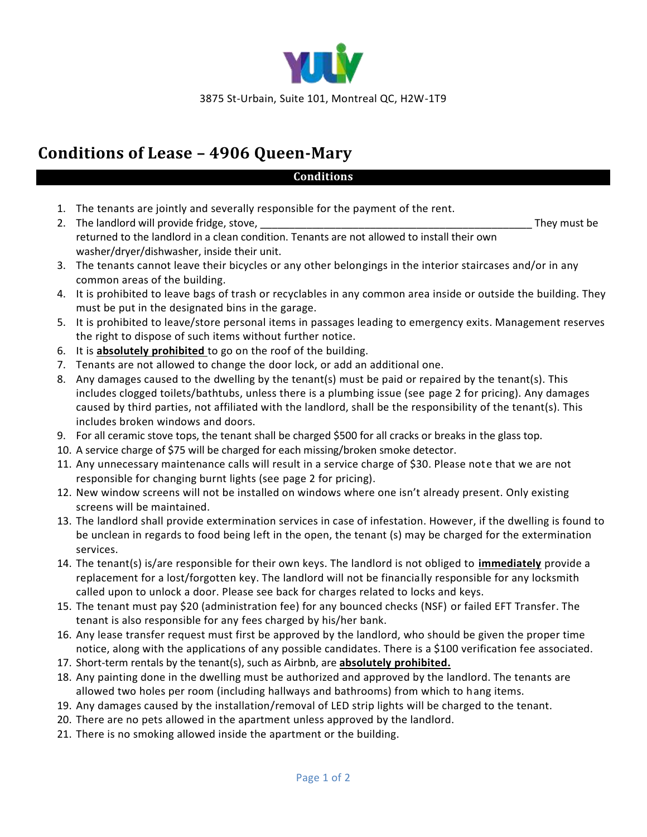

## **Conditions of Lease – 4906 Queen-Mary**

## **Conditions**

- 1. The tenants are jointly and severally responsible for the payment of the rent.
- 2. The landlord will provide fridge, stove, the contract of the contract of the contract of the contract of the contract of the contract of the contract of the contract of the contract of the contract of the contract of th returned to the landlord in a clean condition. Tenants are not allowed to install their own washer/dryer/dishwasher, inside their unit.
- 3. The tenants cannot leave their bicycles or any other belongings in the interior staircases and/or in any common areas of the building.
- 4. It is prohibited to leave bags of trash or recyclables in any common area inside or outside the building. They must be put in the designated bins in the garage.
- 5. It is prohibited to leave/store personal items in passages leading to emergency exits. Management reserves the right to dispose of such items without further notice.
- 6. It is **absolutely prohibited** to go on the roof of the building.
- 7. Tenants are not allowed to change the door lock, or add an additional one.
- 8. Any damages caused to the dwelling by the tenant(s) must be paid or repaired by the tenant(s). This includes clogged toilets/bathtubs, unless there is a plumbing issue (see page 2 for pricing). Any damages caused by third parties, not affiliated with the landlord, shall be the responsibility of the tenant(s). This includes broken windows and doors.
- 9. For all ceramic stove tops, the tenant shall be charged \$500 for all cracks or breaks in the glass top.
- 10. A service charge of \$75 will be charged for each missing/broken smoke detector.
- 11. Any unnecessary maintenance calls will result in a service charge of \$30. Please note that we are not responsible for changing burnt lights (see page 2 for pricing).
- 12. New window screens will not be installed on windows where one isn't already present. Only existing screens will be maintained.
- 13. The landlord shall provide extermination services in case of infestation. However, if the dwelling is found to be unclean in regards to food being left in the open, the tenant (s) may be charged for the extermination services.
- 14. The tenant(s) is/are responsible for their own keys. The landlord is not obliged to **immediately** provide a replacement for a lost/forgotten key. The landlord will not be financially responsible for any locksmith called upon to unlock a door. Please see back for charges related to locks and keys.
- 15. The tenant must pay \$20 (administration fee) for any bounced checks (NSF) or failed EFT Transfer. The tenant is also responsible for any fees charged by his/her bank.
- 16. Any lease transfer request must first be approved by the landlord, who should be given the proper time notice, along with the applications of any possible candidates. There is a \$100 verification fee associated.
- 17. Short-term rentals by the tenant(s), such as Airbnb, are **absolutely prohibited.**
- 18. Any painting done in the dwelling must be authorized and approved by the landlord. The tenants are allowed two holes per room (including hallways and bathrooms) from which to hang items.
- 19. Any damages caused by the installation/removal of LED strip lights will be charged to the tenant.
- 20. There are no pets allowed in the apartment unless approved by the landlord.
- 21. There is no smoking allowed inside the apartment or the building.